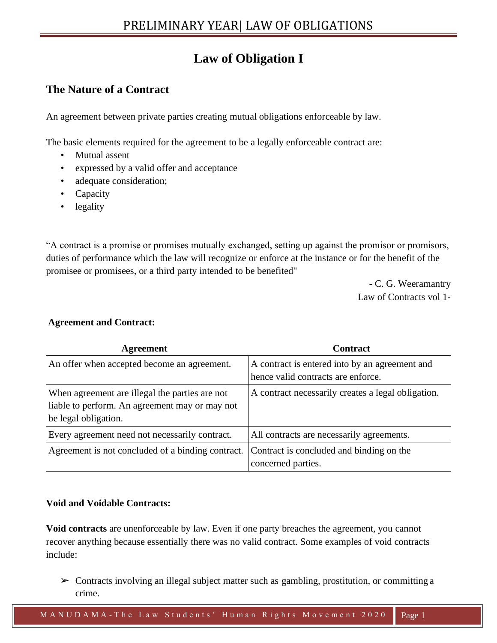# **Law of Obligation I**

# **The Nature of a Contract**

An agreement between private parties creating mutual obligations enforceable by law.

The basic elements required for the agreement to be a legally enforceable contract are:

- Mutual assent
- expressed by a valid offer and acceptance
- adequate consideration;
- Capacity
- legality

"A contract is a promise or promises mutually exchanged, setting up against the promisor or promisors, duties of performance which the law will recognize or enforce at the instance or for the benefit of the promisee or promisees, or a third party intended to be benefited"

> - C. G. Weeramantry Law of Contracts vol 1-

| Agreement                                                                                                                | <b>Contract</b>                                                                      |
|--------------------------------------------------------------------------------------------------------------------------|--------------------------------------------------------------------------------------|
| An offer when accepted become an agreement.                                                                              | A contract is entered into by an agreement and<br>hence valid contracts are enforce. |
| When agreement are illegal the parties are not<br>liable to perform. An agreement may or may not<br>be legal obligation. | A contract necessarily creates a legal obligation.                                   |
| Every agreement need not necessarily contract.                                                                           | All contracts are necessarily agreements.                                            |
| Agreement is not concluded of a binding contract.                                                                        | Contract is concluded and binding on the<br>concerned parties.                       |

### **Agreement and Contract:**

#### **Void and Voidable Contracts:**

**Void contracts** are unenforceable by law. Even if one party breaches the agreement, you cannot recover anything because essentially there was no valid contract. Some examples of void contracts include:

 $\triangleright$  Contracts involving an illegal subject matter such as gambling, prostitution, or committing a crime.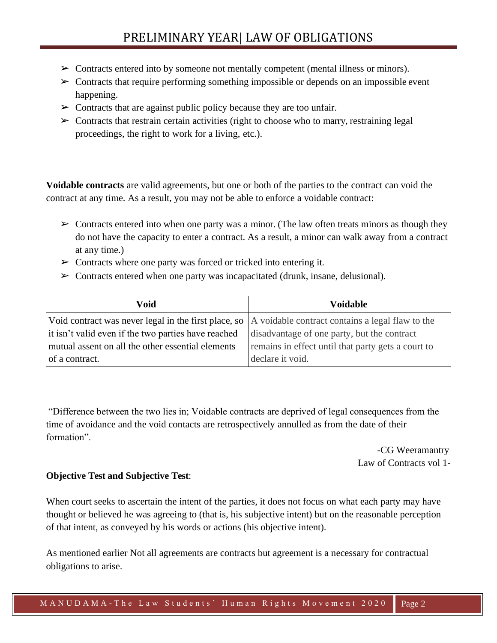- $\triangleright$  Contracts entered into by someone not mentally competent (mental illness or minors).
- $\triangleright$  Contracts that require performing something impossible or depends on an impossible event happening.
- $\triangleright$  Contracts that are against public policy because they are too unfair.
- $\triangleright$  Contracts that restrain certain activities (right to choose who to marry, restraining legal proceedings, the right to work for a living, etc.).

**Voidable contracts** are valid agreements, but one or both of the parties to the contract can void the contract at any time. As a result, you may not be able to enforce a voidable contract:

- $\triangleright$  Contracts entered into when one party was a minor. (The law often treats minors as though they do not have the capacity to enter a contract. As a result, a minor can walk away from a contract at any time.)
- $\triangleright$  Contracts where one party was forced or tricked into entering it.
- $\triangleright$  Contracts entered when one party was incapacitated (drunk, insane, delusional).

| Void                                                                                                   | Voidable                                           |
|--------------------------------------------------------------------------------------------------------|----------------------------------------------------|
| Void contract was never legal in the first place, so  A voidable contract contains a legal flaw to the |                                                    |
| it isn't valid even if the two parties have reached                                                    | disadvantage of one party, but the contract        |
| mutual assent on all the other essential elements                                                      | remains in effect until that party gets a court to |
| of a contract.                                                                                         | declare it void.                                   |

"Difference between the two lies in; Voidable contracts are deprived of legal consequences from the time of avoidance and the void contacts are retrospectively annulled as from the date of their formation".

> -CG Weeramantry Law of Contracts vol 1-

#### **Objective Test and Subjective Test**:

When court seeks to ascertain the intent of the parties, it does not focus on what each party may have thought or believed he was agreeing to (that is, his subjective intent) but on the reasonable perception of that intent, as conveyed by his words or actions (his objective intent).

As mentioned earlier Not all agreements are contracts but agreement is a necessary for contractual obligations to arise.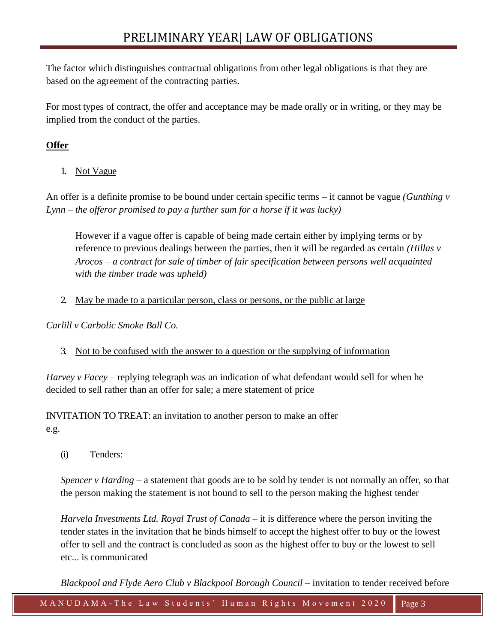The factor which distinguishes contractual obligations from other legal obligations is that they are based on the agreement of the contracting parties.

For most types of contract, the offer and acceptance may be made orally or in writing, or they may be implied from the conduct of the parties.

# **Offer**

1. Not Vague

An offer is a definite promise to be bound under certain specific terms – it cannot be vague *(Gunthing v Lynn – the offeror promised to pay a further sum for a horse if it was lucky)*

However if a vague offer is capable of being made certain either by implying terms or by reference to previous dealings between the parties, then it will be regarded as certain *(Hillas v Arocos – a contract for sale of timber of fair specification between persons well acquainted with the timber trade was upheld)*

2. May be made to a particular person, class or persons, or the public at large

*Carlill v Carbolic Smoke Ball Co.*

3. Not to be confused with the answer to a question or the supplying of information

*Harvey v Facey* – replying telegraph was an indication of what defendant would sell for when he decided to sell rather than an offer for sale; a mere statement of price

INVITATION TO TREAT: an invitation to another person to make an offer e.g.

(i) Tenders:

*Spencer v Harding* – a statement that goods are to be sold by tender is not normally an offer, so that the person making the statement is not bound to sell to the person making the highest tender

*Harvela Investments Ltd. Royal Trust of Canada* – it is difference where the person inviting the tender states in the invitation that he binds himself to accept the highest offer to buy or the lowest offer to sell and the contract is concluded as soon as the highest offer to buy or the lowest to sell etc... is communicated

*Blackpool and Flyde Aero Club v Blackpool Borough Council* – invitation to tender received before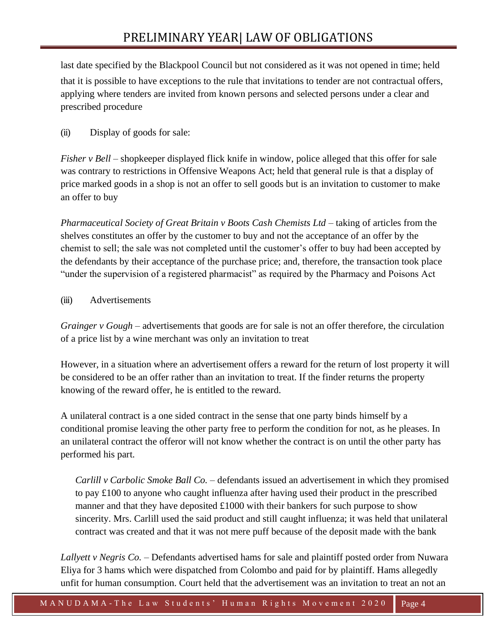last date specified by the Blackpool Council but not considered as it was not opened in time; held that it is possible to have exceptions to the rule that invitations to tender are not contractual offers, applying where tenders are invited from known persons and selected persons under a clear and prescribed procedure

## (ii) Display of goods for sale:

*Fisher v Bell* – shopkeeper displayed flick knife in window, police alleged that this offer for sale was contrary to restrictions in Offensive Weapons Act; held that general rule is that a display of price marked goods in a shop is not an offer to sell goods but is an invitation to customer to make an offer to buy

*Pharmaceutical Society of Great Britain v Boots Cash Chemists Ltd* – taking of articles from the shelves constitutes an offer by the customer to buy and not the acceptance of an offer by the chemist to sell; the sale was not completed until the customer's offer to buy had been accepted by the defendants by their acceptance of the purchase price; and, therefore, the transaction took place "under the supervision of a registered pharmacist" as required by the Pharmacy and Poisons Act

### (iii) Advertisements

*Grainger v Gough* – advertisements that goods are for sale is not an offer therefore, the circulation of a price list by a wine merchant was only an invitation to treat

However, in a situation where an advertisement offers a reward for the return of lost property it will be considered to be an offer rather than an invitation to treat. If the finder returns the property knowing of the reward offer, he is entitled to the reward.

A unilateral contract is a one sided contract in the sense that one party binds himself by a conditional promise leaving the other party free to perform the condition for not, as he pleases. In an unilateral contract the offeror will not know whether the contract is on until the other party has performed his part.

*Carlill v Carbolic Smoke Ball Co.* – defendants issued an advertisement in which they promised to pay £100 to anyone who caught influenza after having used their product in the prescribed manner and that they have deposited  $\pounds1000$  with their bankers for such purpose to show sincerity. Mrs. Carlill used the said product and still caught influenza; it was held that unilateral contract was created and that it was not mere puff because of the deposit made with the bank

*Lallyett v Negris Co.* – Defendants advertised hams for sale and plaintiff posted order from Nuwara Eliya for 3 hams which were dispatched from Colombo and paid for by plaintiff. Hams allegedly unfit for human consumption. Court held that the advertisement was an invitation to treat an not an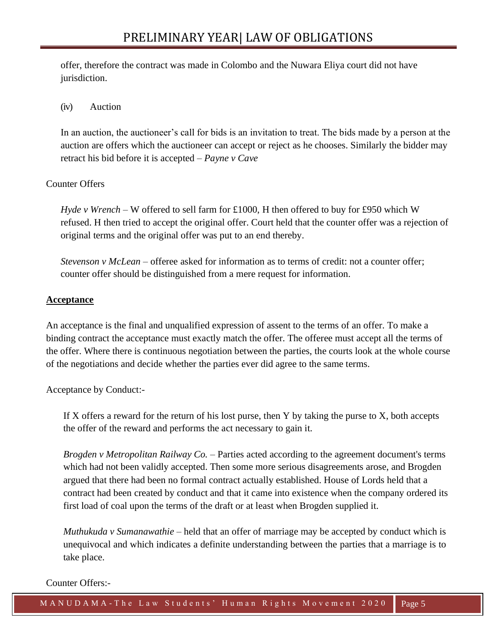offer, therefore the contract was made in Colombo and the Nuwara Eliya court did not have jurisdiction.

## (iv) Auction

In an auction, the auctioneer's call for bids is an invitation to treat. The bids made by a person at the auction are offers which the auctioneer can accept or reject as he chooses. Similarly the bidder may retract his bid before it is accepted – *Payne v Cave*

## Counter Offers

*Hyde v Wrench* – W offered to sell farm for £1000, H then offered to buy for £950 which W refused. H then tried to accept the original offer. Court held that the counter offer was a rejection of original terms and the original offer was put to an end thereby.

*Stevenson v McLean* – offeree asked for information as to terms of credit: not a counter offer; counter offer should be distinguished from a mere request for information.

### **Acceptance**

An acceptance is the final and unqualified expression of assent to the terms of an offer. To make a binding contract the acceptance must exactly match the offer. The offeree must accept all the terms of the offer. Where there is continuous negotiation between the parties, the courts look at the whole course of the negotiations and decide whether the parties ever did agree to the same terms.

Acceptance by Conduct:-

If X offers a reward for the return of his lost purse, then Y by taking the purse to X, both accepts the offer of the reward and performs the act necessary to gain it.

*Brogden v Metropolitan Railway Co.* – Parties acted according to the agreement document's terms which had not been validly accepted. Then some more serious disagreements arose, and Brogden argued that there had been no formal contract actually established. House of Lords held that a contract had been created by conduct and that it came into existence when the company ordered its first load of coal upon the terms of the draft or at least when Brogden supplied it.

*Muthukuda v Sumanawathie* – held that an offer of marriage may be accepted by conduct which is unequivocal and which indicates a definite understanding between the parties that a marriage is to take place.

#### Counter Offers:-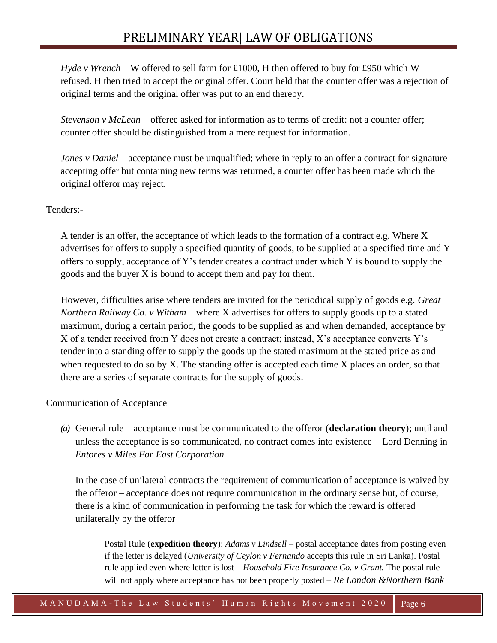*Hyde v Wrench* – W offered to sell farm for £1000, H then offered to buy for £950 which W refused. H then tried to accept the original offer. Court held that the counter offer was a rejection of original terms and the original offer was put to an end thereby.

*Stevenson v McLean* – offeree asked for information as to terms of credit: not a counter offer; counter offer should be distinguished from a mere request for information.

*Jones v Daniel* – acceptance must be unqualified; where in reply to an offer a contract for signature accepting offer but containing new terms was returned, a counter offer has been made which the original offeror may reject.

## Tenders:-

A tender is an offer, the acceptance of which leads to the formation of a contract e.g. Where X advertises for offers to supply a specified quantity of goods, to be supplied at a specified time and Y offers to supply, acceptance of Y's tender creates a contract under which Y is bound to supply the goods and the buyer X is bound to accept them and pay for them.

However, difficulties arise where tenders are invited for the periodical supply of goods e.g. *Great Northern Railway Co. v Witham – where X advertises for offers to supply goods up to a stated* maximum, during a certain period, the goods to be supplied as and when demanded, acceptance by X of a tender received from Y does not create a contract; instead, X's acceptance converts Y's tender into a standing offer to supply the goods up the stated maximum at the stated price as and when requested to do so by X. The standing offer is accepted each time X places an order, so that there are a series of separate contracts for the supply of goods.

### Communication of Acceptance

*(a)* General rule – acceptance must be communicated to the offeror (**declaration theory**); until and unless the acceptance is so communicated, no contract comes into existence – Lord Denning in *Entores v Miles Far East Corporation*

In the case of unilateral contracts the requirement of communication of acceptance is waived by the offeror – acceptance does not require communication in the ordinary sense but, of course, there is a kind of communication in performing the task for which the reward is offered unilaterally by the offeror

Postal Rule (**expedition theory**): *Adams v Lindsell* – postal acceptance dates from posting even if the letter is delayed (*University of Ceylon v Fernando* accepts this rule in Sri Lanka). Postal rule applied even where letter is lost – *Household Fire Insurance Co. v Grant.* The postal rule will not apply where acceptance has not been properly posted *– Re London &Northern Bank*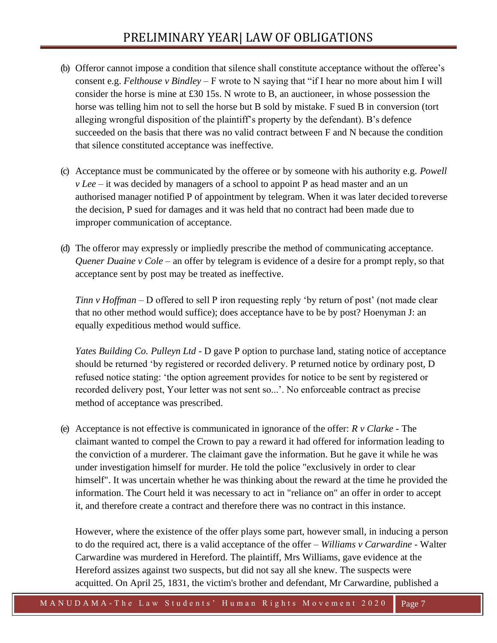- (b) Offeror cannot impose a condition that silence shall constitute acceptance without the offeree's consent e.g. *Felthouse v Bindley* – F wrote to N saying that "if I hear no more about him I will consider the horse is mine at £30 15s. N wrote to B, an auctioneer, in whose possession the horse was telling him not to sell the horse but B sold by mistake. F sued B in conversion (tort alleging wrongful disposition of the plaintiff's property by the defendant). B's defence succeeded on the basis that there was no valid contract between F and N because the condition that silence constituted acceptance was ineffective.
- (c) Acceptance must be communicated by the offeree or by someone with his authority e.g. *Powell v Lee* – it was decided by managers of a school to appoint P as head master and an un authorised manager notified P of appointment by telegram. When it was later decided toreverse the decision, P sued for damages and it was held that no contract had been made due to improper communication of acceptance.
- (d) The offeror may expressly or impliedly prescribe the method of communicating acceptance. *Quener Duaine v Cole* – an offer by telegram is evidence of a desire for a prompt reply, so that acceptance sent by post may be treated as ineffective.

*Tinn v Hoffman* – D offered to sell P iron requesting reply 'by return of post' (not made clear that no other method would suffice); does acceptance have to be by post? Hoenyman J: an equally expeditious method would suffice.

*Yates Building Co. Pulleyn Ltd* - D gave P option to purchase land, stating notice of acceptance should be returned 'by registered or recorded delivery. P returned notice by ordinary post, D refused notice stating: 'the option agreement provides for notice to be sent by registered or recorded delivery post, Your letter was not sent so...'. No enforceable contract as precise method of acceptance was prescribed.

(e) Acceptance is not effective is communicated in ignorance of the offer: *R v Clarke* - The claimant wanted to compel the Crown to pay a reward it had offered for information leading to the conviction of a murderer. The claimant gave the information. But he gave it while he was under investigation himself for murder. He told the police "exclusively in order to clear himself". It was uncertain whether he was thinking about the reward at the time he provided the information. The Court held it was necessary to act in "reliance on" an offer in order to accept it, and therefore create a contract and therefore there was no contract in this instance.

However, where the existence of the offer plays some part, however small, in inducing a person to do the required act, there is a valid acceptance of the offer – *Williams v Carwardine* - Walter Carwardine was murdered in Hereford. The plaintiff, Mrs Williams, gave evidence at the Hereford assizes against two suspects, but did not say all she knew. The suspects were acquitted. On April 25, 1831, the victim's brother and defendant, Mr Carwardine, published a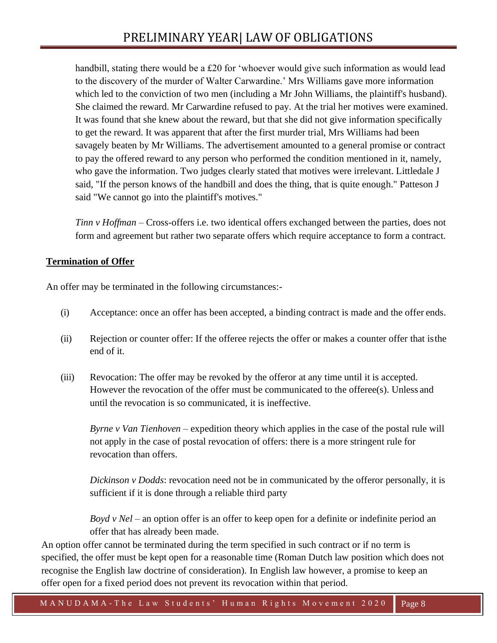handbill, stating there would be a £20 for 'whoever would give such information as would lead to the discovery of the murder of Walter Carwardine.' Mrs Williams gave more information which led to the conviction of two men (including a Mr John Williams, the plaintiff's husband). She claimed the reward. Mr Carwardine refused to pay. At the trial her motives were examined. It was found that she knew about the reward, but that she did not give information specifically to get the reward. It was apparent that after the first murder trial, Mrs Williams had been savagely beaten by Mr Williams. The advertisement amounted to a general promise or contract to pay the offered reward to any person who performed the condition mentioned in it, namely, who gave the information. Two judges clearly stated that motives were irrelevant. Littledale J said, "If the person knows of the handbill and does the thing, that is quite enough." Patteson J said "We cannot go into the plaintiff's motives."

*Tinn v Hoffman* – Cross-offers i.e. two identical offers exchanged between the parties, does not form and agreement but rather two separate offers which require acceptance to form a contract.

## **Termination of Offer**

An offer may be terminated in the following circumstances:-

- (i) Acceptance: once an offer has been accepted, a binding contract is made and the offer ends.
- (ii) Rejection or counter offer: If the offeree rejects the offer or makes a counter offer that isthe end of it.
- (iii) Revocation: The offer may be revoked by the offeror at any time until it is accepted. However the revocation of the offer must be communicated to the offeree(s). Unless and until the revocation is so communicated, it is ineffective.

*Byrne v Van Tienhoven* – expedition theory which applies in the case of the postal rule will not apply in the case of postal revocation of offers: there is a more stringent rule for revocation than offers.

*Dickinson v Dodds*: revocation need not be in communicated by the offeror personally, it is sufficient if it is done through a reliable third party

*Boyd v Nel* – an option offer is an offer to keep open for a definite or indefinite period an offer that has already been made.

An option offer cannot be terminated during the term specified in such contract or if no term is specified, the offer must be kept open for a reasonable time (Roman Dutch law position which does not recognise the English law doctrine of consideration). In English law however, a promise to keep an offer open for a fixed period does not prevent its revocation within that period.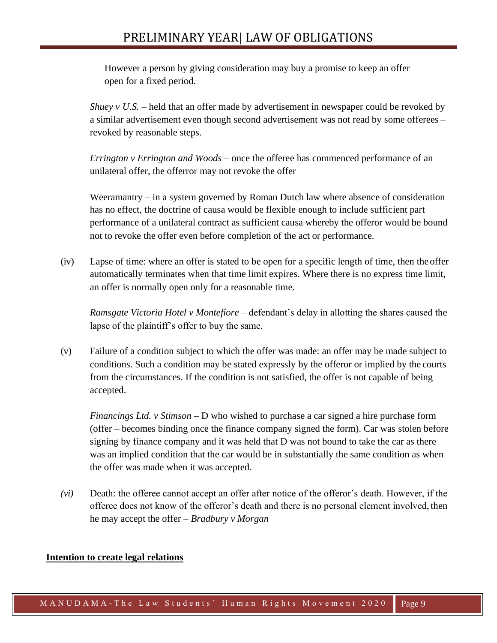# PRELIMINARY YEAR| LAW OF OBLIGATIONS

However a person by giving consideration may buy a promise to keep an offer open for a fixed period.

*Shuey v U.S.* – held that an offer made by advertisement in newspaper could be revoked by a similar advertisement even though second advertisement was not read by some offerees – revoked by reasonable steps.

*Errington v Errington and Woods* – once the offeree has commenced performance of an unilateral offer, the offerror may not revoke the offer

Weeramantry – in a system governed by Roman Dutch law where absence of consideration has no effect, the doctrine of causa would be flexible enough to include sufficient part performance of a unilateral contract as sufficient causa whereby the offeror would be bound not to revoke the offer even before completion of the act or performance.

(iv) Lapse of time: where an offer is stated to be open for a specific length of time, then theoffer automatically terminates when that time limit expires. Where there is no express time limit, an offer is normally open only for a reasonable time.

*Ramsgate Victoria Hotel v Montefiore* – defendant's delay in allotting the shares caused the lapse of the plaintiff's offer to buy the same.

(v) Failure of a condition subject to which the offer was made: an offer may be made subject to conditions. Such a condition may be stated expressly by the offeror or implied by the courts from the circumstances. If the condition is not satisfied, the offer is not capable of being accepted.

*Financings Ltd. v Stimson* – D who wished to purchase a car signed a hire purchase form (offer – becomes binding once the finance company signed the form). Car was stolen before signing by finance company and it was held that D was not bound to take the car as there was an implied condition that the car would be in substantially the same condition as when the offer was made when it was accepted.

*(vi)* Death: the offeree cannot accept an offer after notice of the offeror's death. However, if the offeree does not know of the offeror's death and there is no personal element involved, then he may accept the offer – *Bradbury v Morgan*

#### **Intention to create legal relations**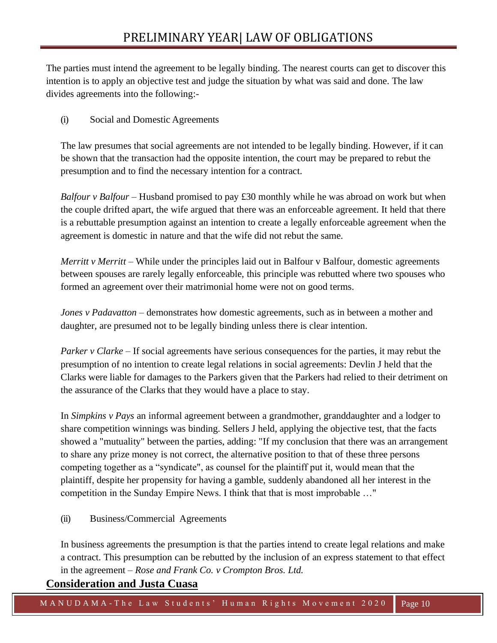The parties must intend the agreement to be legally binding. The nearest courts can get to discover this intention is to apply an objective test and judge the situation by what was said and done. The law divides agreements into the following:-

(i) Social and Domestic Agreements

The law presumes that social agreements are not intended to be legally binding. However, if it can be shown that the transaction had the opposite intention, the court may be prepared to rebut the presumption and to find the necessary intention for a contract.

*Balfour v Balfour* – Husband promised to pay £30 monthly while he was abroad on work but when the couple drifted apart, the wife argued that there was an enforceable agreement. It held that there is a rebuttable presumption against an intention to create a legally enforceable agreement when the agreement is domestic in nature and that the wife did not rebut the same.

*Merritt v Merritt* – While under the principles laid out in Balfour v Balfour, domestic agreements between spouses are rarely legally enforceable, this principle was rebutted where two spouses who formed an agreement over their matrimonial home were not on good terms.

*Jones v Padavatton* – demonstrates how domestic agreements, such as in between a mother and daughter, are presumed not to be legally binding unless there is clear intention.

*Parker v Clarke* – If social agreements have serious consequences for the parties, it may rebut the presumption of no intention to create legal relations in social agreements: Devlin J held that the Clarks were liable for damages to the Parkers given that the Parkers had relied to their detriment on the assurance of the Clarks that they would have a place to stay.

In *Simpkins v Pays* an informal agreement between a grandmother, granddaughter and a lodger to share competition winnings was binding. Sellers J held, applying the objective test, that the facts showed a "mutuality" between the parties, adding: "If my conclusion that there was an arrangement to share any prize money is not correct, the alternative position to that of these three persons competing together as a "syndicate", as counsel for the plaintiff put it, would mean that the plaintiff, despite her propensity for having a gamble, suddenly abandoned all her interest in the competition in the Sunday Empire News. I think that that is most improbable …"

(ii) Business/Commercial Agreements

In business agreements the presumption is that the parties intend to create legal relations and make a contract. This presumption can be rebutted by the inclusion of an express statement to that effect in the agreement – *Rose and Frank Co. v Crompton Bros. Ltd.*

# **Consideration and Justa Cuasa**

M A N U D A M A - T h e L a w S t u d e n t s ' H u m a n R i g h t s M o v e m e n t 2020 | Page 10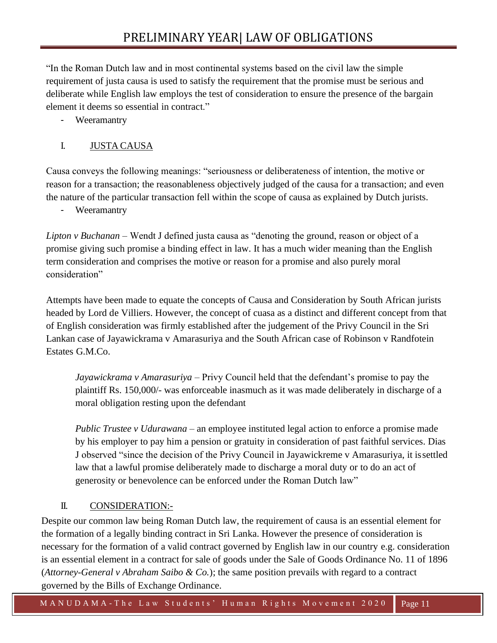"In the Roman Dutch law and in most continental systems based on the civil law the simple requirement of justa causa is used to satisfy the requirement that the promise must be serious and deliberate while English law employs the test of consideration to ensure the presence of the bargain element it deems so essential in contract."

Weeramantry

# I. JUSTA CAUSA

Causa conveys the following meanings: "seriousness or deliberateness of intention, the motive or reason for a transaction; the reasonableness objectively judged of the causa for a transaction; and even the nature of the particular transaction fell within the scope of causa as explained by Dutch jurists.

- Weeramantry

*Lipton v Buchanan* – Wendt J defined justa causa as "denoting the ground, reason or object of a promise giving such promise a binding effect in law. It has a much wider meaning than the English term consideration and comprises the motive or reason for a promise and also purely moral consideration"

Attempts have been made to equate the concepts of Causa and Consideration by South African jurists headed by Lord de Villiers. However, the concept of cuasa as a distinct and different concept from that of English consideration was firmly established after the judgement of the Privy Council in the Sri Lankan case of Jayawickrama v Amarasuriya and the South African case of Robinson v Randfotein Estates G.M.Co.

*Jayawickrama v Amarasuriya* – Privy Council held that the defendant's promise to pay the plaintiff Rs. 150,000/- was enforceable inasmuch as it was made deliberately in discharge of a moral obligation resting upon the defendant

*Public Trustee v Udurawana* – an employee instituted legal action to enforce a promise made by his employer to pay him a pension or gratuity in consideration of past faithful services. Dias J observed "since the decision of the Privy Council in Jayawickreme v Amarasuriya, it issettled law that a lawful promise deliberately made to discharge a moral duty or to do an act of generosity or benevolence can be enforced under the Roman Dutch law"

# II. CONSIDERATION:-

Despite our common law being Roman Dutch law, the requirement of causa is an essential element for the formation of a legally binding contract in Sri Lanka. However the presence of consideration is necessary for the formation of a valid contract governed by English law in our country e.g. consideration is an essential element in a contract for sale of goods under the Sale of Goods Ordinance No. 11 of 1896 (*Attorney-General v Abraham Saibo & Co.*); the same position prevails with regard to a contract governed by the Bills of Exchange Ordinance.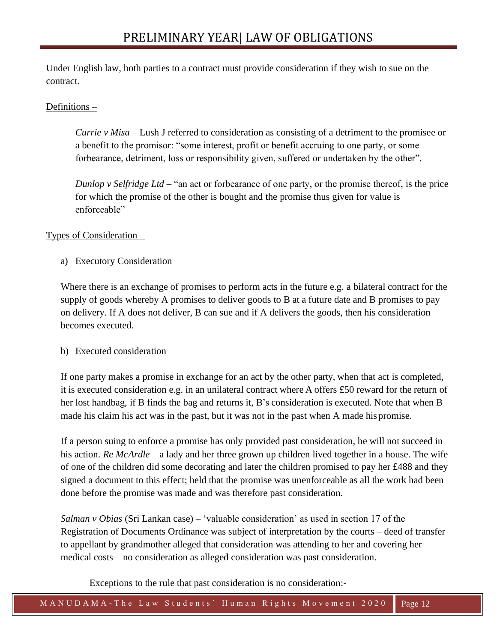Under English law, both parties to a contract must provide consideration if they wish to sue on the contract.

## Definitions –

*Currie v Misa* – Lush J referred to consideration as consisting of a detriment to the promisee or a benefit to the promisor: "some interest, profit or benefit accruing to one party, or some forbearance, detriment, loss or responsibility given, suffered or undertaken by the other".

*Dunlop v Selfridge Ltd* – "an act or forbearance of one party, or the promise thereof, is the price for which the promise of the other is bought and the promise thus given for value is enforceable"

### Types of Consideration –

a) Executory Consideration

Where there is an exchange of promises to perform acts in the future e.g. a bilateral contract for the supply of goods whereby A promises to deliver goods to B at a future date and B promises to pay on delivery. If A does not deliver, B can sue and if A delivers the goods, then his consideration becomes executed.

### b) Executed consideration

If one party makes a promise in exchange for an act by the other party, when that act is completed, it is executed consideration e.g. in an unilateral contract where A offers £50 reward for the return of her lost handbag, if B finds the bag and returns it, B's consideration is executed. Note that when B made his claim his act was in the past, but it was not in the past when A made hispromise.

If a person suing to enforce a promise has only provided past consideration, he will not succeed in his action. *Re McArdle* – a lady and her three grown up children lived together in a house. The wife of one of the children did some decorating and later the children promised to pay her  $\pounds 488$  and they signed a document to this effect; held that the promise was unenforceable as all the work had been done before the promise was made and was therefore past consideration.

*Salman v Obias* (Sri Lankan case) – 'valuable consideration' as used in section 17 of the Registration of Documents Ordinance was subject of interpretation by the courts – deed of transfer to appellant by grandmother alleged that consideration was attending to her and covering her medical costs – no consideration as alleged consideration was past consideration.

Exceptions to the rule that past consideration is no consideration:-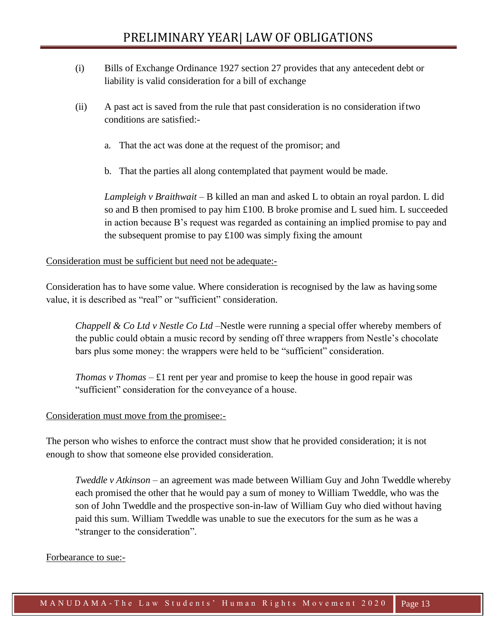- (i) Bills of Exchange Ordinance 1927 section 27 provides that any antecedent debt or liability is valid consideration for a bill of exchange
- (ii) A past act is saved from the rule that past consideration is no consideration iftwo conditions are satisfied:
	- a. That the act was done at the request of the promisor; and
	- b. That the parties all along contemplated that payment would be made.

*Lampleigh v Braithwait* – B killed an man and asked L to obtain an royal pardon. L did so and B then promised to pay him £100. B broke promise and L sued him. L succeeded in action because B's request was regarded as containing an implied promise to pay and the subsequent promise to pay  $£100$  was simply fixing the amount

### Consideration must be sufficient but need not be adequate:-

Consideration has to have some value. Where consideration is recognised by the law as having some value, it is described as "real" or "sufficient" consideration.

*Chappell & Co Ltd v Nestle Co Ltd* –Nestle were running a special offer whereby members of the public could obtain a music record by sending off three wrappers from Nestle's chocolate bars plus some money: the wrappers were held to be "sufficient" consideration.

*Thomas v Thomas*  $-\pounds1$  rent per year and promise to keep the house in good repair was "sufficient" consideration for the conveyance of a house.

### Consideration must move from the promisee:-

The person who wishes to enforce the contract must show that he provided consideration; it is not enough to show that someone else provided consideration.

*Tweddle v Atkinson* – an agreement was made between William Guy and John Tweddle whereby each promised the other that he would pay a sum of money to William Tweddle, who was the son of John Tweddle and the prospective son-in-law of William Guy who died without having paid this sum. William Tweddle was unable to sue the executors for the sum as he was a "stranger to the consideration".

### Forbearance to sue:-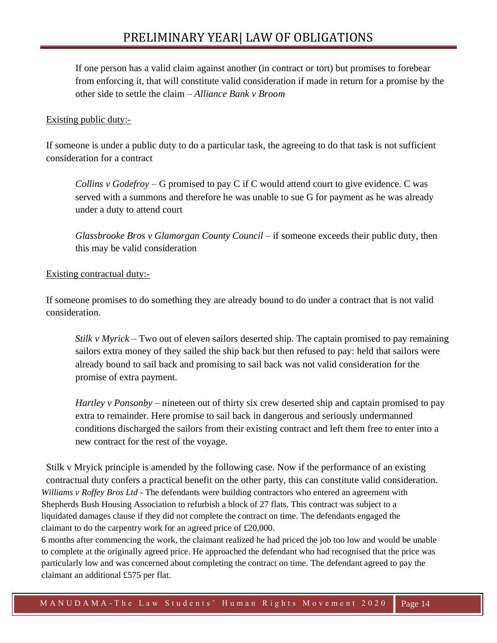If one person has a valid claim against another (in contract or tort) but promises to forebear from enforcing it, that will constitute valid consideration if made in return for a promise by the other side to settle the claim – *Alliance Bank v Broom*

### Existing public duty:-

If someone is under a public duty to do a particular task, the agreeing to do that task is not sufficient consideration for a contract

*Collins v Godefroy* – G promised to pay C if C would attend court to give evidence. C was served with a summons and therefore he was unable to sue G for payment as he was already under a duty to attend court

*Glassbrooke Bros v Glamorgan County Council* – if someone exceeds their public duty, then this may be valid consideration

#### Existing contractual duty:-

If someone promises to do something they are already bound to do under a contract that is not valid consideration.

*Stilk v Myrick* – Two out of eleven sailors deserted ship. The captain promised to pay remaining sailors extra money of they sailed the ship back but then refused to pay: held that sailors were already bound to sail back and promising to sail back was not valid consideration for the promise of extra payment.

*Hartley v Ponsonby* – nineteen out of thirty six crew deserted ship and captain promised to pay extra to remainder. Here promise to sail back in dangerous and seriously undermanned conditions discharged the sailors from their existing contract and left them free to enter into a new contract for the rest of the voyage.

Stilk v Mryick principle is amended by the following case. Now if the performance of an existing contractual duty confers a practical benefit on the other party, this can constitute valid consideration. *Williams v Roffey Bros Ltd* - The defendants were building contractors who entered an agreement with Shepherds Bush Housing Association to refurbish a block of 27 flats. This contract was subject to a liquidated damages clause if they did not complete the contract on time. The defendants engaged the claimant to do the carpentry work for an agreed price of £20,000.

6 months after commencing the work, the claimant realized he had priced the job too low and would be unable to complete at the originally agreed price. He approached the defendant who had recognised that the price was particularly low and was concerned about completing the contract on time. The defendant agreed to pay the claimant an additional £575 per flat.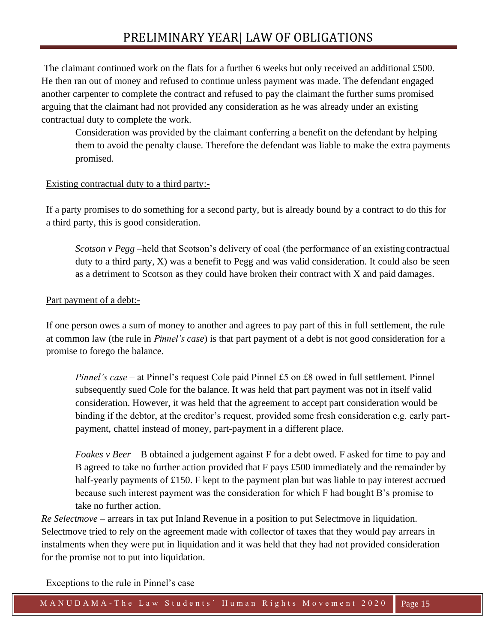The claimant continued work on the flats for a further 6 weeks but only received an additional £500. He then ran out of money and refused to continue unless payment was made. The defendant engaged another carpenter to complete the contract and refused to pay the claimant the further sums promised arguing that the claimant had not provided any consideration as he was already under an existing contractual duty to complete the work.

Consideration was provided by the claimant conferring a benefit on the defendant by helping them to avoid the penalty clause. Therefore the defendant was liable to make the extra payments promised.

### Existing contractual duty to a third party:-

If a party promises to do something for a second party, but is already bound by a contract to do this for a third party, this is good consideration.

*Scotson v Pegg* –held that Scotson's delivery of coal (the performance of an existing contractual duty to a third party,  $X$ ) was a benefit to Pegg and was valid consideration. It could also be seen as a detriment to Scotson as they could have broken their contract with X and paid damages.

## Part payment of a debt:-

If one person owes a sum of money to another and agrees to pay part of this in full settlement, the rule at common law (the rule in *Pinnel's case*) is that part payment of a debt is not good consideration for a promise to forego the balance.

*Pinnel's case – at Pinnel's request Cole paid Pinnel £5 on £8 owed in full settlement. Pinnel* subsequently sued Cole for the balance. It was held that part payment was not in itself valid consideration. However, it was held that the agreement to accept part consideration would be binding if the debtor, at the creditor's request, provided some fresh consideration e.g. early partpayment, chattel instead of money, part-payment in a different place.

*Foakes v Beer* – B obtained a judgement against F for a debt owed. F asked for time to pay and B agreed to take no further action provided that F pays £500 immediately and the remainder by half-yearly payments of £150. F kept to the payment plan but was liable to pay interest accrued because such interest payment was the consideration for which F had bought B's promise to take no further action.

*Re Selectmove* – arrears in tax put Inland Revenue in a position to put Selectmove in liquidation. Selectmove tried to rely on the agreement made with collector of taxes that they would pay arrears in instalments when they were put in liquidation and it was held that they had not provided consideration for the promise not to put into liquidation.

Exceptions to the rule in Pinnel's case